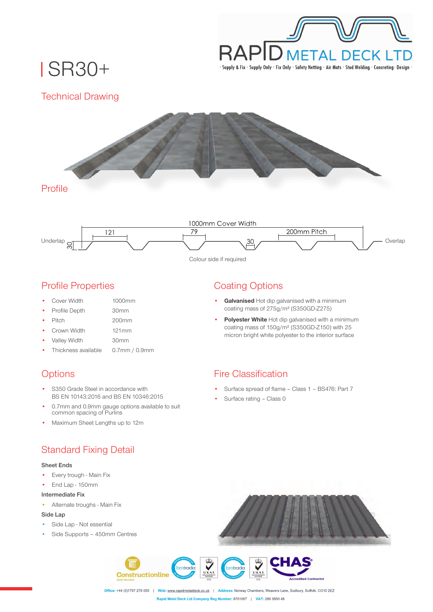

SR30+

## Technical Drawing





#### Profile Properties

- Cover Width
- Profile Depth

30mm

1000mm

- Pitch
- 200mm 121mm
- Crown Width
- Valley Width 30mm
- Thickness available 0.7mm / 0.9mm

## **Options**

- S350 Grade Steel in accordance with BS EN 10143:2016 and BS EN 10346:2015
- 0.7mm and 0.9mm gauge options available to suit common spacing of Purlins
- Maximum Sheet Lengths up to 12m

## Standard Fixing Detail

#### **Sheet Ends**

- Every trough Main Fix
- End Lap 150mm

#### **Intermediate Fix**

• Alternate troughs - Main Fix

#### **Side Lap**

- Side Lap Not essential
- Side Supports 450mm Centres

# Coating Options

- **Galvanised** Hot dip galvanised with a minimum coating mass of 275g/m² (S350GD-Z275)
- **Polyester White** Hot dip galvanised with a minimum coating mass of 150g/m² (S350GD-Z150) with 25 micron bright white polyester to the interior surface

## Fire Classification

- Surface spread of flame Class 1 BS476: Part 7
- Surface rating Class 0



Office: +44 (0)1787 275 055 | Web: www.rapidmetaldeck.co.uk | Address: Norway Chambers, Weavers Lane, Sudbury, Suffolk. CO10 2EZ Rapid Metal Deck Ltd Company Reg Number: 8701067 | VAT: 289 3850 48